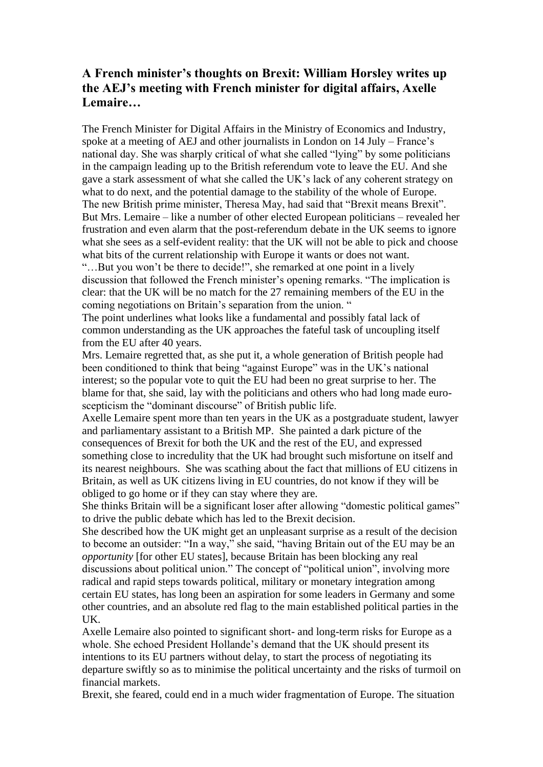## **A French minister's thoughts on Brexit: William Horsley writes up the AEJ's meeting with French minister for digital affairs, Axelle Lemaire…**

The French Minister for Digital Affairs in the Ministry of Economics and Industry, spoke at a meeting of AEJ and other journalists in London on 14 July – France's national day. She was sharply critical of what she called "lying" by some politicians in the campaign leading up to the British referendum vote to leave the EU. And she gave a stark assessment of what she called the UK's lack of any coherent strategy on what to do next, and the potential damage to the stability of the whole of Europe. The new British prime minister, Theresa May, had said that "Brexit means Brexit". But Mrs. Lemaire – like a number of other elected European politicians – revealed her frustration and even alarm that the post-referendum debate in the UK seems to ignore what she sees as a self-evident reality: that the UK will not be able to pick and choose what bits of the current relationship with Europe it wants or does not want.

"…But you won't be there to decide!", she remarked at one point in a lively discussion that followed the French minister's opening remarks. "The implication is clear: that the UK will be no match for the 27 remaining members of the EU in the coming negotiations on Britain's separation from the union. "

The point underlines what looks like a fundamental and possibly fatal lack of common understanding as the UK approaches the fateful task of uncoupling itself from the EU after 40 years.

Mrs. Lemaire regretted that, as she put it, a whole generation of British people had been conditioned to think that being "against Europe" was in the UK's national interest; so the popular vote to quit the EU had been no great surprise to her. The blame for that, she said, lay with the politicians and others who had long made euroscepticism the "dominant discourse" of British public life.

Axelle Lemaire spent more than ten years in the UK as a postgraduate student, lawyer and parliamentary assistant to a British MP. She painted a dark picture of the consequences of Brexit for both the UK and the rest of the EU, and expressed something close to incredulity that the UK had brought such misfortune on itself and its nearest neighbours. She was scathing about the fact that millions of EU citizens in Britain, as well as UK citizens living in EU countries, do not know if they will be obliged to go home or if they can stay where they are.

She thinks Britain will be a significant loser after allowing "domestic political games" to drive the public debate which has led to the Brexit decision.

She described how the UK might get an unpleasant surprise as a result of the decision to become an outsider: "In a way," she said, "having Britain out of the EU may be an *opportunity* [for other EU states], because Britain has been blocking any real discussions about political union." The concept of "political union", involving more radical and rapid steps towards political, military or monetary integration among certain EU states, has long been an aspiration for some leaders in Germany and some other countries, and an absolute red flag to the main established political parties in the UK.

Axelle Lemaire also pointed to significant short- and long-term risks for Europe as a whole. She echoed President Hollande's demand that the UK should present its intentions to its EU partners without delay, to start the process of negotiating its departure swiftly so as to minimise the political uncertainty and the risks of turmoil on financial markets.

Brexit, she feared, could end in a much wider fragmentation of Europe. The situation